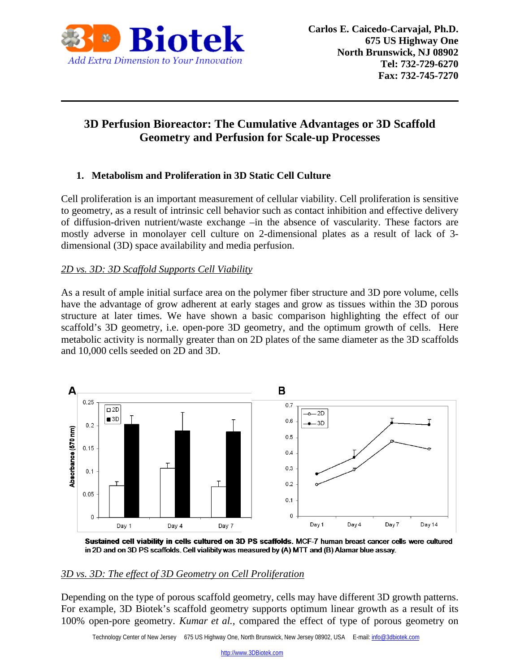

# **3D Perfusion Bioreactor: The Cumulative Advantages or 3D Scaffold Geometry and Perfusion for Scale-up Processes**

# **1. Metabolism and Proliferation in 3D Static Cell Culture**

Cell proliferation is an important measurement of cellular viability. Cell proliferation is sensitive to geometry, as a result of intrinsic cell behavior such as contact inhibition and effective delivery of diffusion-driven nutrient/waste exchange –in the absence of vascularity. These factors are mostly adverse in monolayer cell culture on 2-dimensional plates as a result of lack of 3 dimensional (3D) space availability and media perfusion.

## *2D vs. 3D: 3D Scaffold Supports Cell Viability*

As a result of ample initial surface area on the polymer fiber structure and 3D pore volume, cells have the advantage of grow adherent at early stages and grow as tissues within the 3D porous structure at later times. We have shown a basic comparison highlighting the effect of our scaffold's 3D geometry, i.e. open-pore 3D geometry, and the optimum growth of cells. Here metabolic activity is normally greater than on 2D plates of the same diameter as the 3D scaffolds and 10,000 cells seeded on 2D and 3D.



Sustained cell viability in cells cultured on 3D PS scaffolds. MCF-7 human breast cancer cells were cultured in 2D and on 3D PS scaffolds. Cell vialibity was measured by (A) MTT and (B) Alamar blue assay.

#### *3D vs. 3D: The effect of 3D Geometry on Cell Proliferation*

Depending on the type of porous scaffold geometry, cells may have different 3D growth patterns. For example, 3D Biotek's scaffold geometry supports optimum linear growth as a result of its 100% open-pore geometry. *Kumar et al.,* compared the effect of type of porous geometry on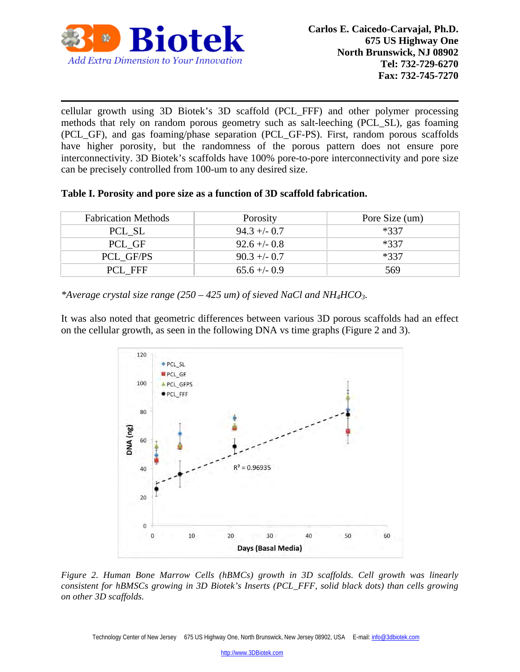

cellular growth using 3D Biotek's 3D scaffold (PCL\_FFF) and other polymer processing methods that rely on random porous geometry such as salt-leeching (PCL\_SL), gas foaming (PCL\_GF), and gas foaming/phase separation (PCL\_GF-PS). First, random porous scaffolds have higher porosity, but the randomness of the porous pattern does not ensure pore interconnectivity. 3D Biotek's scaffolds have 100% pore-to-pore interconnectivity and pore size can be precisely controlled from 100-um to any desired size.

| Table I. Porosity and pore size as a function of 3D scaffold fabrication. |  |  |  |  |
|---------------------------------------------------------------------------|--|--|--|--|
|---------------------------------------------------------------------------|--|--|--|--|

| <b>Fabrication Methods</b> | Porosity       | Pore Size (um) |
|----------------------------|----------------|----------------|
| PCL SL                     | $94.3 + - 0.7$ | $*337$         |
| PCL GF                     | $92.6 + - 0.8$ | $*337$         |
| PCL GF/PS                  | $90.3 + -0.7$  | $*337$         |
| PCL FFF                    | $65.6 + - 0.9$ | 569            |

*\*Average crystal size range (250 – 425 um) of sieved NaCl and NH4HCO3.* 

It was also noted that geometric differences between various 3D porous scaffolds had an effect on the cellular growth, as seen in the following DNA vs time graphs (Figure 2 and 3).



*Figure 2. Human Bone Marrow Cells (hBMCs) growth in 3D scaffolds. Cell growth was linearly consistent for hBMSCs growing in 3D Biotek's Inserts (PCL\_FFF, solid black dots) than cells growing on other 3D scaffolds.*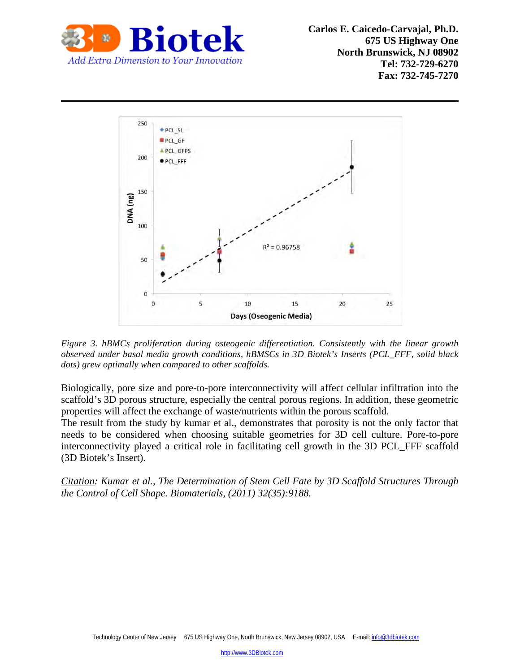

 **Carlos E. Caicedo-Carvajal, Ph.D. 675 US Highway One North Brunswick, NJ 08902 Tel: 732-729-6270 Fax: 732-745-7270**



*Figure 3. hBMCs proliferation during osteogenic differentiation. Consistently with the linear growth observed under basal media growth conditions, hBMSCs in 3D Biotek's Inserts (PCL\_FFF, solid black dots) grew optimally when compared to other scaffolds.* 

Biologically, pore size and pore-to-pore interconnectivity will affect cellular infiltration into the scaffold's 3D porous structure, especially the central porous regions. In addition, these geometric properties will affect the exchange of waste/nutrients within the porous scaffold.

The result from the study by kumar et al., demonstrates that porosity is not the only factor that needs to be considered when choosing suitable geometries for 3D cell culture. Pore-to-pore interconnectivity played a critical role in facilitating cell growth in the 3D PCL\_FFF scaffold (3D Biotek's Insert).

*Citation: Kumar et al., The Determination of Stem Cell Fate by 3D Scaffold Structures Through the Control of Cell Shape. Biomaterials, (2011) 32(35):9188.*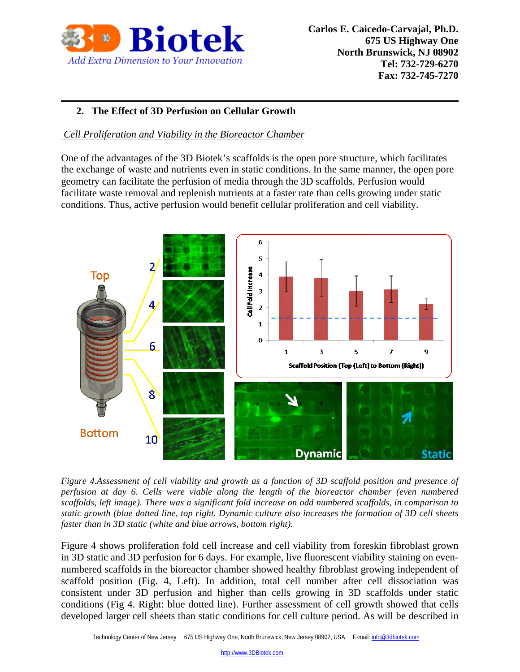

# **2. The Effect of 3D Perfusion on Cellular Growth**

#### *Cell Proliferation and Viability in the Bioreactor Chamber*

One of the advantages of the 3D Biotek's scaffolds is the open pore structure, which facilitates the exchange of waste and nutrients even in static conditions. In the same manner, the open pore geometry can facilitate the perfusion of media through the 3D scaffolds. Perfusion would facilitate waste removal and replenish nutrients at a faster rate than cells growing under static conditions. Thus, active perfusion would benefit cellular proliferation and cell viability.



*Figure 4.Assessment of cell viability and growth as a function of 3D scaffold position and presence of perfusion at day 6. Cells were viable along the length of the bioreactor chamber (even numbered scaffolds, left image). There was a significant fold increase on odd numbered scaffolds, in comparison to static growth (blue dotted line, top right. Dynamic culture also increases the formation of 3D cell sheets faster than in 3D static (white and blue arrows, bottom right).* 

Figure 4 shows proliferation fold cell increase and cell viability from foreskin fibroblast grown in 3D static and 3D perfusion for 6 days. For example, live fluorescent viability staining on evennumbered scaffolds in the bioreactor chamber showed healthy fibroblast growing independent of scaffold position (Fig. 4, Left). In addition, total cell number after cell dissociation was consistent under 3D perfusion and higher than cells growing in 3D scaffolds under static conditions (Fig 4. Right: blue dotted line). Further assessment of cell growth showed that cells developed larger cell sheets than static conditions for cell culture period. As will be described in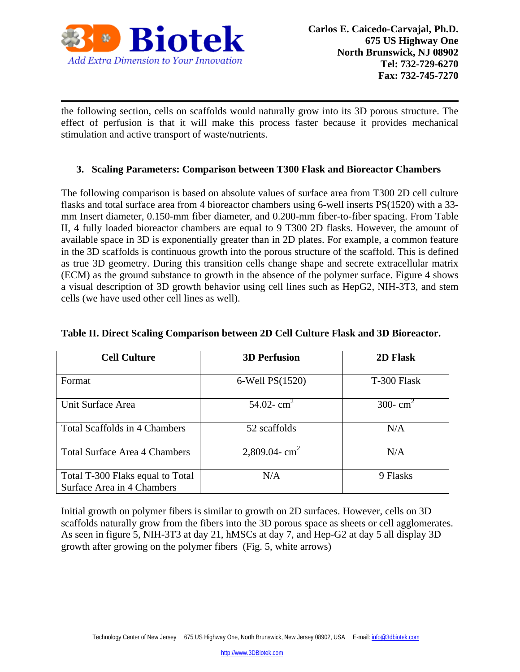

the following section, cells on scaffolds would naturally grow into its 3D porous structure. The effect of perfusion is that it will make this process faster because it provides mechanical stimulation and active transport of waste/nutrients.

## **3. Scaling Parameters: Comparison between T300 Flask and Bioreactor Chambers**

The following comparison is based on absolute values of surface area from T300 2D cell culture flasks and total surface area from 4 bioreactor chambers using 6-well inserts PS(1520) with a 33 mm Insert diameter, 0.150-mm fiber diameter, and 0.200-mm fiber-to-fiber spacing. From Table II, 4 fully loaded bioreactor chambers are equal to 9 T300 2D flasks. However, the amount of available space in 3D is exponentially greater than in 2D plates. For example, a common feature in the 3D scaffolds is continuous growth into the porous structure of the scaffold. This is defined as true 3D geometry. During this transition cells change shape and secrete extracellular matrix (ECM) as the ground substance to growth in the absence of the polymer surface. Figure 4 shows a visual description of 3D growth behavior using cell lines such as HepG2, NIH-3T3, and stem cells (we have used other cell lines as well).

| <b>Cell Culture</b>                  | <b>3D Perfusion</b>   | 2D Flask    |
|--------------------------------------|-----------------------|-------------|
|                                      |                       |             |
| Format                               | $6$ -Well PS $(1520)$ | T-300 Flask |
|                                      |                       |             |
| Unit Surface Area                    | 54.02- $cm2$          | 300- $cm2$  |
|                                      |                       |             |
| <b>Total Scaffolds in 4 Chambers</b> | 52 scaffolds          | N/A         |
|                                      |                       |             |
| <b>Total Surface Area 4 Chambers</b> | 2,809.04- $cm2$       | N/A         |
|                                      |                       |             |
| Total T-300 Flaks equal to Total     | N/A                   | 9 Flasks    |
| Surface Area in 4 Chambers           |                       |             |

#### **Table II. Direct Scaling Comparison between 2D Cell Culture Flask and 3D Bioreactor.**

Initial growth on polymer fibers is similar to growth on 2D surfaces. However, cells on 3D scaffolds naturally grow from the fibers into the 3D porous space as sheets or cell agglomerates. As seen in figure 5, NIH-3T3 at day 21, hMSCs at day 7, and Hep-G2 at day 5 all display 3D growth after growing on the polymer fibers (Fig. 5, white arrows)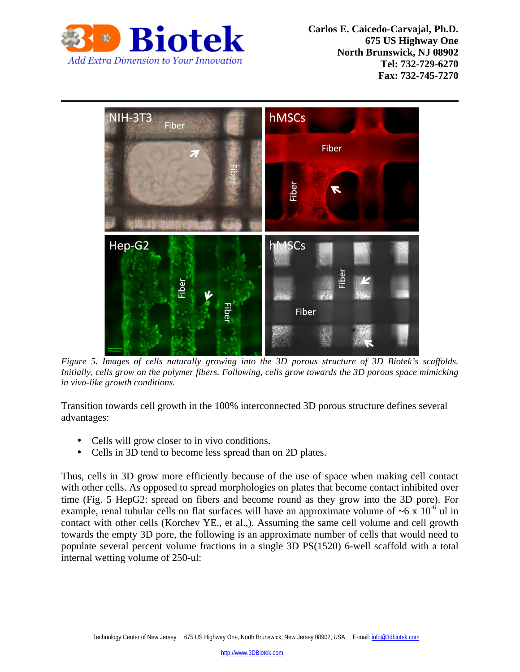

**Rintely** Carlos E. Caicedo-Carvajal, Ph.D. **675 US Highway One North Brunswick, NJ 08902 Tel: 732-729-6270 Fax: 732-745-7270**



*Figure 5. Images of cells naturally growing into the 3D porous structure of 3D Biotek's scaffolds. Initially, cells grow on the polymer fibers. Following, cells grow towards the 3D porous space mimicking in vivo-like growth conditions.* 

Transition towards cell growth in the 100% interconnected 3D porous structure defines several advantages:

- Cells will grow closer to in vivo conditions.
- Cells in 3D tend to become less spread than on 2D plates.

Thus, cells in 3D grow more efficiently because of the use of space when making cell contact with other cells. As opposed to spread morphologies on plates that become contact inhibited over time (Fig. 5 HepG2: spread on fibers and become round as they grow into the 3D pore). For example, renal tubular cells on flat surfaces will have an approximate volume of  $\sim 6 \times 10^{-6}$  ul in contact with other cells (Korchev YE., et al.,). Assuming the same cell volume and cell growth towards the empty 3D pore, the following is an approximate number of cells that would need to populate several percent volume fractions in a single 3D PS(1520) 6-well scaffold with a total internal wetting volume of 250-ul: